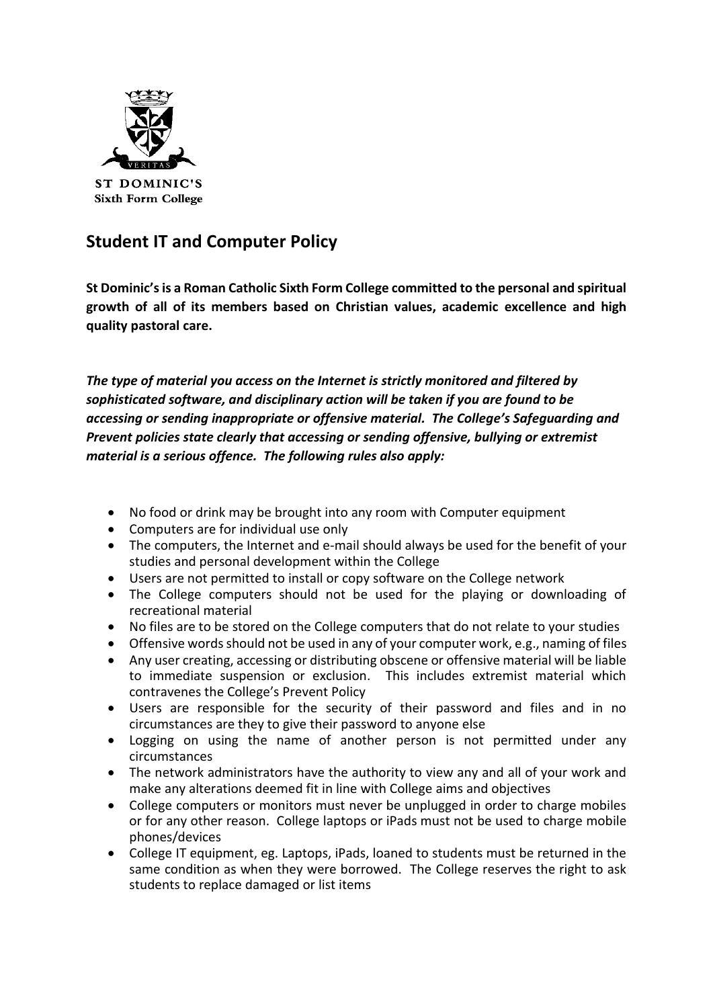

## **Student IT and Computer Policy**

**St Dominic's is a Roman Catholic Sixth Form College committed to the personal and spiritual growth of all of its members based on Christian values, academic excellence and high quality pastoral care.**

*The type of material you access on the Internet is strictly monitored and filtered by sophisticated software, and disciplinary action will be taken if you are found to be accessing or sending inappropriate or offensive material. The College's Safeguarding and Prevent policies state clearly that accessing or sending offensive, bullying or extremist material is a serious offence. The following rules also apply:*

- No food or drink may be brought into any room with Computer equipment
- Computers are for individual use only
- The computers, the Internet and e-mail should always be used for the benefit of your studies and personal development within the College
- Users are not permitted to install or copy software on the College network
- The College computers should not be used for the playing or downloading of recreational material
- No files are to be stored on the College computers that do not relate to your studies
- Offensive words should not be used in any of your computer work, e.g., naming of files
- Any user creating, accessing or distributing obscene or offensive material will be liable to immediate suspension or exclusion. This includes extremist material which contravenes the College's Prevent Policy
- Users are responsible for the security of their password and files and in no circumstances are they to give their password to anyone else
- Logging on using the name of another person is not permitted under any circumstances
- The network administrators have the authority to view any and all of your work and make any alterations deemed fit in line with College aims and objectives
- College computers or monitors must never be unplugged in order to charge mobiles or for any other reason. College laptops or iPads must not be used to charge mobile phones/devices
- College IT equipment, eg. Laptops, iPads, loaned to students must be returned in the same condition as when they were borrowed. The College reserves the right to ask students to replace damaged or list items